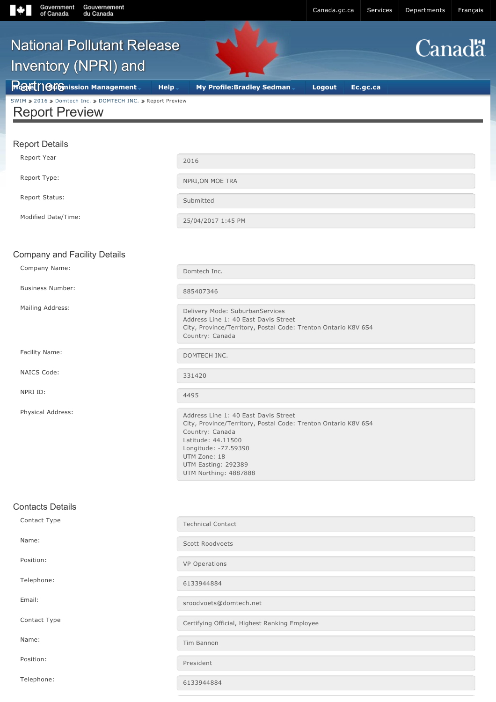| Government<br>Gouvernement<br>of Canada<br>du Canada                                |                                                                                                                                                                                                                                         | Canada.gc.ca | Services | Departments | Français      |
|-------------------------------------------------------------------------------------|-----------------------------------------------------------------------------------------------------------------------------------------------------------------------------------------------------------------------------------------|--------------|----------|-------------|---------------|
| <b>National Pollutant Release</b><br>Inventory (NPRI) and                           |                                                                                                                                                                                                                                         |              |          |             | <b>Canadä</b> |
| <b>Rafet 16 fG</b> nission Management                                               | <b>Help</b><br><b>My Profile: Bradley Sedman</b>                                                                                                                                                                                        | Logout       | Ec.gc.ca |             |               |
| SWIM > 2016 > Domtech Inc. > DOMTECH INC. > Report Preview<br><b>Report Preview</b> |                                                                                                                                                                                                                                         |              |          |             |               |
| <b>Report Details</b>                                                               |                                                                                                                                                                                                                                         |              |          |             |               |
| Report Year                                                                         | 2016                                                                                                                                                                                                                                    |              |          |             |               |
| Report Type:                                                                        | NPRI, ON MOE TRA                                                                                                                                                                                                                        |              |          |             |               |
| Report Status:                                                                      | Submitted                                                                                                                                                                                                                               |              |          |             |               |
| Modified Date/Time:                                                                 | 25/04/2017 1:45 PM                                                                                                                                                                                                                      |              |          |             |               |
|                                                                                     |                                                                                                                                                                                                                                         |              |          |             |               |
| <b>Company and Facility Details</b><br>Company Name:                                |                                                                                                                                                                                                                                         |              |          |             |               |
|                                                                                     | Domtech Inc.                                                                                                                                                                                                                            |              |          |             |               |
| <b>Business Number:</b>                                                             | 885407346                                                                                                                                                                                                                               |              |          |             |               |
| Mailing Address:                                                                    | Delivery Mode: SuburbanServices<br>Address Line 1: 40 East Davis Street<br>City, Province/Territory, Postal Code: Trenton Ontario K8V 6S4<br>Country: Canada                                                                            |              |          |             |               |
| Facility Name:                                                                      | DOMTECH INC.                                                                                                                                                                                                                            |              |          |             |               |
| NAICS Code:                                                                         | 331420                                                                                                                                                                                                                                  |              |          |             |               |
| NPRI ID:                                                                            | 4495                                                                                                                                                                                                                                    |              |          |             |               |
| Physical Address:                                                                   | Address Line 1: 40 East Davis Street<br>City, Province/Territory, Postal Code: Trenton Ontario K8V 6S4<br>Country: Canada<br>Latitude: 44.11500<br>Longitude: -77.59390<br>UTM Zone: 18<br>UTM Easting: 292389<br>UTM Northing: 4887888 |              |          |             |               |
| <b>Contacts Details</b>                                                             |                                                                                                                                                                                                                                         |              |          |             |               |
| Contact Type                                                                        | <b>Technical Contact</b>                                                                                                                                                                                                                |              |          |             |               |
| Name:                                                                               | Scott Roodvoets                                                                                                                                                                                                                         |              |          |             |               |
| Position:                                                                           | <b>VP Operations</b>                                                                                                                                                                                                                    |              |          |             |               |
| Telephone:                                                                          | 6133944884                                                                                                                                                                                                                              |              |          |             |               |
| Email:                                                                              | sroodvoets@domtech.net                                                                                                                                                                                                                  |              |          |             |               |

Contact Type Contact Type Certifying Official, Highest Ranking Employee

Name: Tim Bannon

Position: President

Telephone: <sup>6133944884</sup>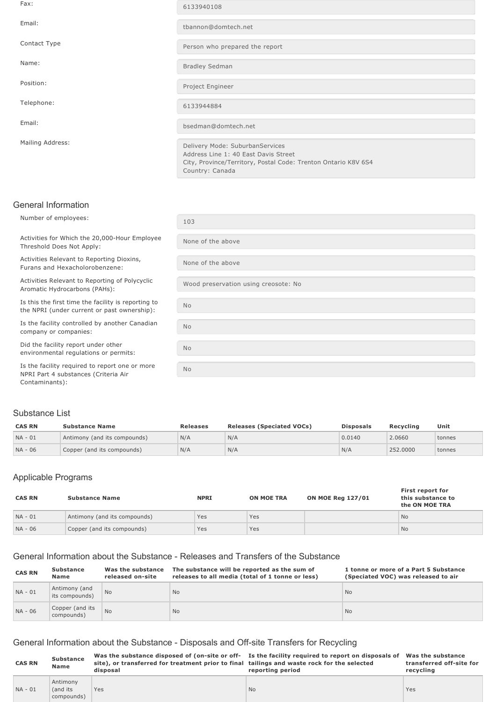| Fax:             | 6133940108                                                                                                                                                   |
|------------------|--------------------------------------------------------------------------------------------------------------------------------------------------------------|
| Email:           | tbannon@domtech.net                                                                                                                                          |
| Contact Type     | Person who prepared the report                                                                                                                               |
| Name:            | <b>Bradley Sedman</b>                                                                                                                                        |
| Position:        | Project Engineer                                                                                                                                             |
| Telephone:       | 6133944884                                                                                                                                                   |
| Email:           | bsedman@domtech.net                                                                                                                                          |
| Mailing Address: | Delivery Mode: SuburbanServices<br>Address Line 1: 40 East Davis Street<br>City, Province/Territory, Postal Code: Trenton Ontario K8V 6S4<br>Country: Canada |

## General Information

company or companies:

Number of employees: 103 Activities for Which the 20,000-Hour Employee Threshold Does Not Apply: None of the above Activities Relevant to Reporting Dioxins, Furans and Hexacholorobenzene: None of the above Activities Relevant to Reporting of Polycyclic Activities Relevant to Reporting of Polycyclic<br>Aromatic Hydrocarbons (PAHs):<br>Nood preservation using creosote: No Is this the first time the facility is reporting to the NPRI (under current or past ownership): No Is the facility controlled by another Canadian No Did the facility report under other environmental regulations or permits: No Is the facility required to report one or more NPRI Part 4 substances (Criteria Air No

#### Substance List

Contaminants):

| <b>CAS RN</b> | <b>Substance Name</b>        | <b>Releases</b> | <b>Releases (Speciated VOCs)</b> | <b>Disposals</b> | Recvcling | Unit   |
|---------------|------------------------------|-----------------|----------------------------------|------------------|-----------|--------|
| $NA - 01$     | Antimony (and its compounds) | N/A             | N/A                              | 0.0140           | 2.0660    | tonnes |
| NA - 06       | Copper (and its compounds)   | N/A             | N/A                              | N/A              | 252,0000  | tonnes |

### Applicable Programs

| <b>CAS RN</b> | <b>Substance Name</b>        | <b>NPRI</b> | <b>ON MOE TRA</b> | <b>ON MOE Reg 127/01</b> | First report for<br>this substance to<br>the ON MOE TRA |
|---------------|------------------------------|-------------|-------------------|--------------------------|---------------------------------------------------------|
| $NA - 01$     | Antimony (and its compounds) | Yes         | Yes               |                          | <b>No</b>                                               |
| $NA - 06$     | Copper (and its compounds)   | Yes         | Yes               |                          | <b>No</b>                                               |

#### General Information about the Substance Releases and Transfers of the Substance

| <b>CAS RN</b> | <b>Substance</b><br><b>Name</b> | Was the substance<br>released on-site | The substance will be reported as the sum of<br>releases to all media (total of 1 tonne or less) | 1 tonne or more of a Part 5 Substance<br>(Speciated VOC) was released to air |
|---------------|---------------------------------|---------------------------------------|--------------------------------------------------------------------------------------------------|------------------------------------------------------------------------------|
| $NA - 01$     | Antimony (and<br>its compounds) | <b>No</b>                             | N <sub>o</sub>                                                                                   | <b>No</b>                                                                    |
| NA - 06       | Copper (and its<br>compounds)   | <b>No</b>                             | <b>No</b>                                                                                        | <b>No</b>                                                                    |

### General Information about the Substance - Disposals and Off-site Transfers for Recycling

| <b>CAS RN</b> | <b>Substance</b>                   | site), or transferred for treatment prior to final tailings and waste rock for the selected | Was the substance disposed of (on-site or off- Is the facility required to report on disposals of Was the substance | transferred off-site for |
|---------------|------------------------------------|---------------------------------------------------------------------------------------------|---------------------------------------------------------------------------------------------------------------------|--------------------------|
|               | Name                               | disposal                                                                                    | reporting period                                                                                                    | recvcling                |
| $NA - 01$     | Antimony<br>(and its<br>compounds) | Yes                                                                                         | <b>No</b>                                                                                                           | Yes                      |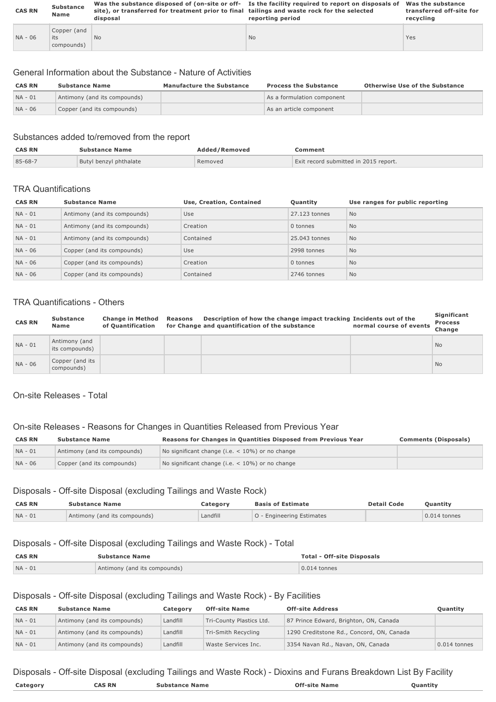| <b>CAS RN</b> | <b>Substance</b><br>Name         | site), or transferred for treatment prior to final tailings and waste rock for the selected<br>disposal | Was the substance disposed of (on-site or off- Is the facility required to report on disposals of<br>reporting period | Was the substance<br>transferred off-site for<br>recycling |
|---------------|----------------------------------|---------------------------------------------------------------------------------------------------------|-----------------------------------------------------------------------------------------------------------------------|------------------------------------------------------------|
| $NA - 06$     | Copper (and<br>its<br>compounds) | N <sub>o</sub>                                                                                          | <b>No</b>                                                                                                             | Yes                                                        |

#### General Information about the Substance Nature of Activities

| <b>CAS RN</b> | <b>Substance Name</b>        | <b>Manufacture the Substance</b> | <b>Process the Substance</b> | Otherwise Use of the Substance |
|---------------|------------------------------|----------------------------------|------------------------------|--------------------------------|
| $NA - 01$     | Antimony (and its compounds) |                                  | As a formulation component   |                                |
| NA - 06       | Copper (and its compounds)   |                                  | As an article component      |                                |

# Substances added to/removed from the report

| <b>CAS RN</b> | <b>Substance Name</b>  | Added/Removed | Comment                               |
|---------------|------------------------|---------------|---------------------------------------|
| 85-68-7       | Butyl benzyl phthalate | Removed       | Exit record submitted in 2015 report. |

#### TRA Quantifications

| <b>CAS RN</b> | <b>Substance Name</b>        | Use, Creation, Contained | Quantity      | Use ranges for public reporting |
|---------------|------------------------------|--------------------------|---------------|---------------------------------|
| $NA - 01$     | Antimony (and its compounds) | Use                      | 27.123 tonnes | <b>No</b>                       |
| $NA - 01$     | Antimony (and its compounds) | Creation                 | 0 tonnes      | <b>No</b>                       |
| $NA - 01$     | Antimony (and its compounds) | Contained                | 25,043 tonnes | <b>No</b>                       |
| NA - 06       | Copper (and its compounds)   | Use                      | 2998 tonnes   | No                              |
| NA - 06       | Copper (and its compounds)   | Creation                 | 0 tonnes      | <b>No</b>                       |
| NA - 06       | Copper (and its compounds)   | Contained                | 2746 tonnes   | <b>No</b>                       |

### TRA Quantifications - Others

| <b>CAS RN</b> | <b>Substance</b><br>Name        | <b>Change in Method</b><br>of Ouantification | Reasons | Description of how the change impact tracking Incidents out of the<br>for Change and quantification of the substance | normal course of events | Significant<br><b>Process</b><br>Change |
|---------------|---------------------------------|----------------------------------------------|---------|----------------------------------------------------------------------------------------------------------------------|-------------------------|-----------------------------------------|
| $NA - 01$     | Antimony (and<br>its compounds) |                                              |         |                                                                                                                      |                         | <b>No</b>                               |
| NA - 06       | Copper (and its<br>compounds)   |                                              |         |                                                                                                                      |                         | <b>No</b>                               |

#### On-site Releases - Total

# On-site Releases - Reasons for Changes in Quantities Released from Previous Year

| <b>CAS RN</b> | <b>Substance Name</b>        | Reasons for Changes in Quantities Disposed from Previous Year<br><b>Comments (Disposals)</b> |  |
|---------------|------------------------------|----------------------------------------------------------------------------------------------|--|
| $NA - 01$     | Antimony (and its compounds) | No significant change (i.e. $<$ 10%) or no change                                            |  |
| NA - 06       | Copper (and its compounds)   | No significant change (i.e. $<$ 10%) or no change                                            |  |

# Disposals - Off-site Disposal (excluding Tailings and Waste Rock)

| <b>CAS RN</b> | <b>Substance Name</b>        | Category | <b>Basis of Estimate</b>         | <b>Detail Code</b> | <b>Ouantity</b> |
|---------------|------------------------------|----------|----------------------------------|--------------------|-----------------|
| $NA - 01$     | Antimony (and its compounds) | Landfill | <b>O</b> - Engineering Estimates |                    | $0.014$ tonnes  |

### Disposals - Off-site Disposal (excluding Tailings and Waste Rock) - Total

| <b>CAS RN</b> | <b>Substance Name</b>        | <b>Total - Off-site Disposals</b> |
|---------------|------------------------------|-----------------------------------|
| $NA - 01$     | Antimony (and its compounds) | $0.014$ tonnes                    |

# Disposals - Off-site Disposal (excluding Tailings and Waste Rock) - By Facilities

| <b>CAS RN</b> | <b>Substance Name</b>        | Category | <b>Off-site Name</b>     | <b>Off-site Address</b>                   | <b>Ouantity</b> |
|---------------|------------------------------|----------|--------------------------|-------------------------------------------|-----------------|
| $NA - 01$     | Antimony (and its compounds) | Landfill | Tri-County Plastics Ltd. | 87 Prince Edward, Brighton, ON, Canada    |                 |
| $NA - 01$     | Antimony (and its compounds) | Landfill | Tri-Smith Recycling      | 1290 Creditstone Rd., Concord, ON, Canada |                 |
| $NA - 01$     | Antimony (and its compounds) | Landfill | Waste Services Inc.      | 3354 Navan Rd., Navan, ON, Canada         | $0.014$ tonnes  |

# Disposals - Off-site Disposal (excluding Tailings and Waste Rock) - Dioxins and Furans Breakdown List By Facility

| Category | <b>RN</b><br>'NC | : Name<br><b>Substance</b> | Off-<br>-site Name | antitı<br><b>Puantic</b> |
|----------|------------------|----------------------------|--------------------|--------------------------|
|          |                  |                            |                    |                          |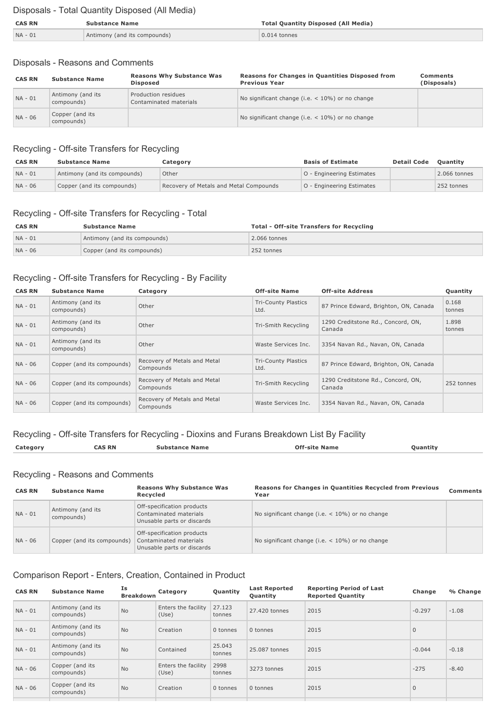# Disposals - Total Quantity Disposed (All Media)

| <b>CAS RN</b><br><b>Substance Name</b> |                              | <b>Total Quantity Disposed (All Media)</b> |  |
|----------------------------------------|------------------------------|--------------------------------------------|--|
| NA - 01                                | Antimony (and its compounds) | $0.014$ tonnes                             |  |

# Disposals - Reasons and Comments

| <b>CAS RN</b> | <b>Substance Name</b>           | <b>Reasons Why Substance Was</b><br><b>Disposed</b> | Reasons for Changes in Quantities Disposed from<br><b>Previous Year</b> | Comments<br>(Disposals) |
|---------------|---------------------------------|-----------------------------------------------------|-------------------------------------------------------------------------|-------------------------|
| $NA - 01$     | Antimony (and its<br>compounds) | Production residues<br>Contaminated materials       | No significant change (i.e. $<$ 10%) or no change                       |                         |
| NA - 06       | Copper (and its<br>compounds)   |                                                     | No significant change (i.e. $<$ 10%) or no change                       |                         |

# Recycling - Off-site Transfers for Recycling

| <b>CAS RN</b> | <b>Substance Name</b>        | Category                               | <b>Basis of Estimate</b>  | <b>Detail Code</b> | <b>Ouantity</b> |
|---------------|------------------------------|----------------------------------------|---------------------------|--------------------|-----------------|
| $NA - 01$     | Antimony (and its compounds) | Other                                  | O - Engineering Estimates |                    | 2.066 tonnes    |
| $NA - 06$     | Copper (and its compounds)   | Recovery of Metals and Metal Compounds | O - Engineering Estimates |                    | 252 tonnes      |

# Recycling - Off-site Transfers for Recycling - Total

| <b>CAS RN</b> | <b>Substance Name</b>        | <b>Total - Off-site Transfers for Recycling</b> |
|---------------|------------------------------|-------------------------------------------------|
| $NA - 01$     | Antimony (and its compounds) | $2.066$ tonnes                                  |
| $NA - 06$     | Copper (and its compounds)   | 252 tonnes                                      |

# Recycling - Off-site Transfers for Recycling - By Facility

| <b>CAS RN</b> | <b>Substance Name</b>           | Category                                  | <b>Off-site Name</b>               | <b>Off-site Address</b>                      | Quantity        |
|---------------|---------------------------------|-------------------------------------------|------------------------------------|----------------------------------------------|-----------------|
| $NA - 01$     | Antimony (and its<br>compounds) | Other                                     | <b>Tri-County Plastics</b><br>Ltd. | 87 Prince Edward, Brighton, ON, Canada       | 0.168<br>tonnes |
| $NA - 01$     | Antimony (and its<br>compounds) | Other                                     | Tri-Smith Recycling                | 1290 Creditstone Rd., Concord, ON,<br>Canada | 1.898<br>tonnes |
| $NA - 01$     | Antimony (and its<br>compounds) | Other                                     | Waste Services Inc.                | 3354 Navan Rd., Navan, ON, Canada            |                 |
| NA - 06       | Copper (and its compounds)      | Recovery of Metals and Metal<br>Compounds | <b>Tri-County Plastics</b><br>Ltd. | 87 Prince Edward, Brighton, ON, Canada       |                 |
| NA - 06       | Copper (and its compounds)      | Recovery of Metals and Metal<br>Compounds | Tri-Smith Recycling                | 1290 Creditstone Rd., Concord, ON,<br>Canada | 252 tonnes      |
| NA - 06       | Copper (and its compounds)      | Recovery of Metals and Metal<br>Compounds | Waste Services Inc.                | 3354 Navan Rd., Navan, ON, Canada            |                 |

# Recycling - Off-site Transfers for Recycling - Dioxins and Furans Breakdown List By Facility

| Category | <b>CAS RN</b> | name | Name | Quantity |
|----------|---------------|------|------|----------|
|          |               |      |      |          |

# Recycling - Reasons and Comments

| <b>CAS RN</b> | <b>Substance Name</b>           | <b>Reasons Why Substance Was</b><br>Recycled                                       | <b>Reasons for Changes in Quantities Recycled from Previous</b><br>Year | <b>Comments</b> |
|---------------|---------------------------------|------------------------------------------------------------------------------------|-------------------------------------------------------------------------|-----------------|
| $NA - 01$     | Antimony (and its<br>compounds) | Off-specification products<br>Contaminated materials<br>Unusable parts or discards | No significant change (i.e. $<$ 10%) or no change                       |                 |
| NA - 06       | Copper (and its compounds)      | Off-specification products<br>Contaminated materials<br>Unusable parts or discards | No significant change (i.e. $<$ 10%) or no change                       |                 |

# Comparison Report - Enters, Creation, Contained in Product

| <b>CAS RN</b> | <b>Substance Name</b>           | Is<br><b>Breakdown</b> | Category                     | Quantity         | <b>Last Reported</b><br>Quantity | <b>Reporting Period of Last</b><br><b>Reported Quantity</b> | Change       | % Change |
|---------------|---------------------------------|------------------------|------------------------------|------------------|----------------------------------|-------------------------------------------------------------|--------------|----------|
| $NA - 01$     | Antimony (and its<br>compounds) | <b>No</b>              | Enters the facility<br>(Use) | 27.123<br>tonnes | 27,420 tonnes                    | 2015                                                        | $-0.297$     | $-1.08$  |
| $NA - 01$     | Antimony (and its<br>compounds) | <b>No</b>              | Creation                     | 0 tonnes         | 0 tonnes                         | 2015                                                        | $\mathbf{0}$ |          |
| NA - 01       | Antimony (and its<br>compounds) | <b>No</b>              | Contained                    | 25.043<br>tonnes | 25,087 tonnes                    | 2015                                                        | $-0.044$     | $-0.18$  |
| NA - 06       | Copper (and its<br>compounds)   | <b>No</b>              | Enters the facility<br>(Use) | 2998<br>tonnes   | 3273 tonnes                      | 2015                                                        | $-275$       | $-8.40$  |
| NA - 06       | Copper (and its<br>compounds)   | <b>No</b>              | Creation                     | 0 tonnes         | 0 tonnes                         | 2015                                                        | $\mathbf{0}$ |          |
|               |                                 |                        |                              |                  |                                  |                                                             |              |          |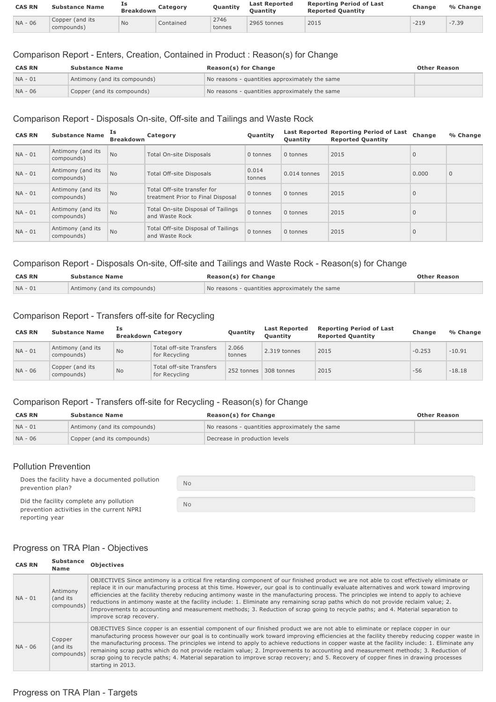| <b>CAS RN</b> | <b>Substance Name</b>         | Ιs<br><b>Breakdown</b> | Category  | Quantity       | <b>Last Reported</b><br><b>Ouantity</b> | <b>Reporting Period of Last</b><br><b>Reported Ouantity</b> | <b>Change</b> | % Change |
|---------------|-------------------------------|------------------------|-----------|----------------|-----------------------------------------|-------------------------------------------------------------|---------------|----------|
| NA - 06       | Copper (and its<br>compounds) | <b>No</b>              | Contained | 2746<br>tonnes | 2965 tonnes                             | 2015                                                        | $-219$        | $-7.39$  |

# Comparison Report - Enters, Creation, Contained in Product : Reason(s) for Change

| <b>CAS RN</b> | <b>Substance Name</b>        | <b>Reason(s) for Change</b>                    | <b>Other Reason</b> |
|---------------|------------------------------|------------------------------------------------|---------------------|
| $NA - 01$     | Antimony (and its compounds) | No reasons - quantities approximately the same |                     |
| NA - 06       | Copper (and its compounds)   | No reasons - quantities approximately the same |                     |

# Comparison Report - Disposals On-site, Off-site and Tailings and Waste Rock

| <b>CAS RN</b> | <b>Substance Name</b>           | Ιs<br><b>Breakdown</b> | Category                                                         | Quantity        | <b>Ouantity</b> | Last Reported Reporting Period of Last<br><b>Reported Quantity</b> | Change       | % Change     |
|---------------|---------------------------------|------------------------|------------------------------------------------------------------|-----------------|-----------------|--------------------------------------------------------------------|--------------|--------------|
| $NA - 01$     | Antimony (and its<br>compounds) | <b>No</b>              | Total On-site Disposals                                          | 0 tonnes        | 0 tonnes        | 2015                                                               | $\mathbf{0}$ |              |
| $NA - 01$     | Antimony (and its<br>compounds) | <b>No</b>              | Total Off-site Disposals                                         | 0.014<br>tonnes | 0.014 tonnes    | 2015                                                               | 0.000        | $\mathbf{0}$ |
| $NA - 01$     | Antimony (and its<br>compounds) | <b>No</b>              | Total Off-site transfer for<br>treatment Prior to Final Disposal | 0 tonnes        | 0 tonnes        | 2015                                                               | $\mathbf{0}$ |              |
| $NA - 01$     | Antimony (and its<br>compounds) | <b>No</b>              | Total On-site Disposal of Tailings<br>and Waste Rock             | 0 tonnes        | 0 tonnes        | 2015                                                               | $\mathbf{0}$ |              |
| $NA - 01$     | Antimony (and its<br>compounds) | <b>No</b>              | Total Off-site Disposal of Tailings<br>and Waste Rock            | 0 tonnes        | 0 tonnes        | 2015                                                               | $\mathbf{0}$ |              |

# Comparison Report - Disposals On-site, Off-site and Tailings and Waste Rock - Reason(s) for Change

| <b>CAS RN</b> | <b>Substance Name</b>        | Reason(s) for Change                           | <b>Other Reason</b> |
|---------------|------------------------------|------------------------------------------------|---------------------|
| $NA - 01$     | Antimony (and its compounds) | No reasons - quantities approximately the same |                     |

# Comparison Report - Transfers off-site for Recycling

| <b>CAS RN</b> | <b>Substance Name</b>           | Ιs<br><b>Breakdown</b> | Category                                         | Quantity        | <b>Last Reported</b><br><b>Ouantity</b> | <b>Reporting Period of Last</b><br><b>Reported Quantity</b> | Change   | % Change |
|---------------|---------------------------------|------------------------|--------------------------------------------------|-----------------|-----------------------------------------|-------------------------------------------------------------|----------|----------|
| $NA - 01$     | Antimony (and its<br>compounds) | <b>No</b>              | <b>Total off-site Transfers</b><br>for Recycling | 2.066<br>tonnes | 2.319 tonnes                            | 2015                                                        | $-0.253$ | $-10.91$ |
| NA - 06       | Copper (and its<br>compounds)   | <b>No</b>              | <b>Total off-site Transfers</b><br>for Recycling | 252 tonnes      | 308 tonnes                              | 2015                                                        | $-56$    | $-18.18$ |

# Comparison Report - Transfers off-site for Recycling - Reason(s) for Change

No

No

| <b>CAS RN</b> | <b>Substance Name</b>        | <b>Reason(s) for Change</b>                    | <b>Other Reason</b> |
|---------------|------------------------------|------------------------------------------------|---------------------|
| $NA - 01$     | Antimony (and its compounds) | No reasons - quantities approximately the same |                     |
| $NA - 06$     | Copper (and its compounds)   | Decrease in production levels                  |                     |

# Pollution Prevention

Does the facility have a documented pollution prevention plan?

Did the facility complete any pollution prevention activities in the current NPRI reporting year

# Progress on TRA Plan - Objectives

| <b>CAS RN</b> | <b>Substance</b><br><b>Name</b>    | <b>Objectives</b>                                                                                                                                                                                                                                                                                                                                                                                                                                                                                                                                                                                                                                                                                                                      |
|---------------|------------------------------------|----------------------------------------------------------------------------------------------------------------------------------------------------------------------------------------------------------------------------------------------------------------------------------------------------------------------------------------------------------------------------------------------------------------------------------------------------------------------------------------------------------------------------------------------------------------------------------------------------------------------------------------------------------------------------------------------------------------------------------------|
| $NA - 01$     | Antimony<br>(and its<br>compounds) | OBJECTIVES Since antimony is a critical fire retarding component of our finished product we are not able to cost effectively eliminate or<br>replace it in our manufacturing process at this time. However, our goal is to continually evaluate alternatives and work toward improving<br>efficiencies at the facility thereby reducing antimony waste in the manufacturing process. The principles we intend to apply to achieve<br>reductions in antimony waste at the facility include: 1. Eliminate any remaining scrap paths which do not provide reclaim value; 2.<br>Improvements to accounting and measurement methods; 3. Reduction of scrap going to recycle paths; and 4. Material separation to<br>improve scrap recovery. |
| NA - 06       | Copper<br>(and its<br>compounds)   | OBJECTIVES Since copper is an essential component of our finished product we are not able to eliminate or replace copper in our<br>manufacturing process however our goal is to continually work toward improving efficiencies at the facility thereby reducing copper waste in<br>the manufacturing process. The principles we intend to apply to achieve reductions in copper waste at the facility include: 1. Eliminate any<br>remaining scrap paths which do not provide reclaim value; 2. Improvements to accounting and measurement methods; 3. Reduction of<br>scrap going to recycle paths; 4. Material separation to improve scrap recovery; and 5. Recovery of copper fines in drawing processes<br>starting in 2013.       |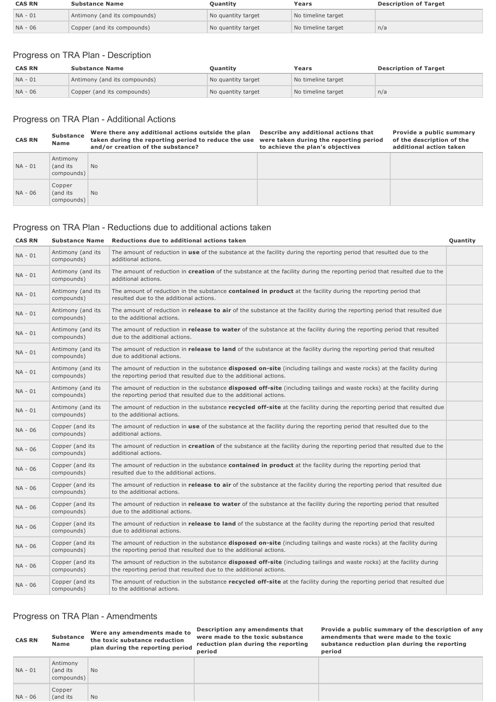| <b>CAS RN</b> | <b>Substance Name</b>        | <b>Ouantity</b>    | Years              | <b>Description of Target</b> |
|---------------|------------------------------|--------------------|--------------------|------------------------------|
| $NA - 01$     | Antimony (and its compounds) | No quantity target | No timeline target |                              |
| $NA - 06$     | Copper (and its compounds)   | No quantity target | No timeline target | n/a                          |

# Progress on TRA Plan - Description

| <b>CAS RN</b> | <b>Substance Name</b>        | Ouantity           | Years              | <b>Description of Target</b> |
|---------------|------------------------------|--------------------|--------------------|------------------------------|
| NA - 01       | Antimony (and its compounds) | No quantity target | No timeline target |                              |
| $NA - 06$     | Copper (and its compounds)   | No quantity target | No timeline target | n/a                          |

# Progress on TRA Plan - Additional Actions

| <b>CAS RN</b> | <b>Substance</b><br>Name           | Were there any additional actions outside the plan<br>taken during the reporting period to reduce the use<br>and/or creation of the substance? | Describe any additional actions that<br>were taken during the reporting period<br>to achieve the plan's objectives | Provide a public summary<br>of the description of the<br>additional action taken |
|---------------|------------------------------------|------------------------------------------------------------------------------------------------------------------------------------------------|--------------------------------------------------------------------------------------------------------------------|----------------------------------------------------------------------------------|
| NA - 01       | Antimony<br>(and its<br>compounds) | <b>No</b>                                                                                                                                      |                                                                                                                    |                                                                                  |
| NA - 06       | Copper<br>(and its<br>compounds)   | <b>No</b>                                                                                                                                      |                                                                                                                    |                                                                                  |

# Progress on TRA Plan - Reductions due to additional actions taken

# **CAS RN Substance Name** Reductions due to additional actions taken **CAS RN CONSIDERITY Quantity**

| $NA - 01$ | Antimony (and its<br>compounds) | The amount of reduction in use of the substance at the facility during the reporting period that resulted due to the<br>additional actions.                                                        |  |
|-----------|---------------------------------|----------------------------------------------------------------------------------------------------------------------------------------------------------------------------------------------------|--|
| NA - 01   | Antimony (and its<br>compounds) | The amount of reduction in creation of the substance at the facility during the reporting period that resulted due to the<br>additional actions.                                                   |  |
| NA - 01   | Antimony (and its<br>compounds) | The amount of reduction in the substance <b>contained in product</b> at the facility during the reporting period that<br>resulted due to the additional actions.                                   |  |
| NA - 01   | Antimony (and its<br>compounds) | The amount of reduction in <b>release to air</b> of the substance at the facility during the reporting period that resulted due<br>to the additional actions.                                      |  |
| NA - 01   | Antimony (and its<br>compounds) | The amount of reduction in release to water of the substance at the facility during the reporting period that resulted<br>due to the additional actions.                                           |  |
| NA - 01   | Antimony (and its<br>compounds) | The amount of reduction in release to land of the substance at the facility during the reporting period that resulted<br>due to additional actions.                                                |  |
| NA - 01   | Antimony (and its<br>compounds) | The amount of reduction in the substance disposed on-site (including tailings and waste rocks) at the facility during<br>the reporting period that resulted due to the additional actions.         |  |
| NA - 01   | Antimony (and its<br>compounds) | The amount of reduction in the substance <b>disposed off-site</b> (including tailings and waste rocks) at the facility during<br>the reporting period that resulted due to the additional actions. |  |
| NA - 01   | Antimony (and its<br>compounds) | The amount of reduction in the substance recycled off-site at the facility during the reporting period that resulted due<br>to the additional actions.                                             |  |
| NA - 06   | Copper (and its<br>compounds)   | The amount of reduction in use of the substance at the facility during the reporting period that resulted due to the<br>additional actions.                                                        |  |
| NA - 06   | Copper (and its<br>compounds)   | The amount of reduction in creation of the substance at the facility during the reporting period that resulted due to the<br>additional actions.                                                   |  |
| NA - 06   | Copper (and its<br>compounds)   | The amount of reduction in the substance contained in product at the facility during the reporting period that<br>resulted due to the additional actions.                                          |  |
| NA - 06   | Copper (and its<br>compounds)   | The amount of reduction in release to air of the substance at the facility during the reporting period that resulted due<br>to the additional actions.                                             |  |
| NA - 06   | Copper (and its<br>compounds)   | The amount of reduction in release to water of the substance at the facility during the reporting period that resulted<br>due to the additional actions.                                           |  |
| NA - 06   | Copper (and its<br>compounds)   | The amount of reduction in release to land of the substance at the facility during the reporting period that resulted<br>due to additional actions.                                                |  |
| NA - 06   | Copper (and its<br>compounds)   | The amount of reduction in the substance disposed on-site (including tailings and waste rocks) at the facility during<br>the reporting period that resulted due to the additional actions.         |  |
| NA - 06   | Copper (and its<br>compounds)   | The amount of reduction in the substance <b>disposed off-site</b> (including tailings and waste rocks) at the facility during<br>the reporting period that resulted due to the additional actions. |  |
| NA - 06   | Copper (and its<br>compounds)   | The amount of reduction in the substance <b>recycled off-site</b> at the facility during the reporting period that resulted due<br>to the additional actions.                                      |  |

# Progress on TRA Plan - Amendments

| <b>CAS RN</b> | <b>Substance</b><br><b>Name</b>     | Were any amendments made to<br>the toxic substance reduction<br>plan during the reporting period | Description any amendments that<br>were made to the toxic substance<br>reduction plan during the reporting<br>period | Provide a public summary of the description of any<br>amendments that were made to the toxic<br>substance reduction plan during the reporting<br>period |
|---------------|-------------------------------------|--------------------------------------------------------------------------------------------------|----------------------------------------------------------------------------------------------------------------------|---------------------------------------------------------------------------------------------------------------------------------------------------------|
| NA - 01       | Antimony<br>(and its)<br>compounds) | <b>No</b>                                                                                        |                                                                                                                      |                                                                                                                                                         |
| NA - 06       | Copper<br>(and its                  | <b>No</b>                                                                                        |                                                                                                                      |                                                                                                                                                         |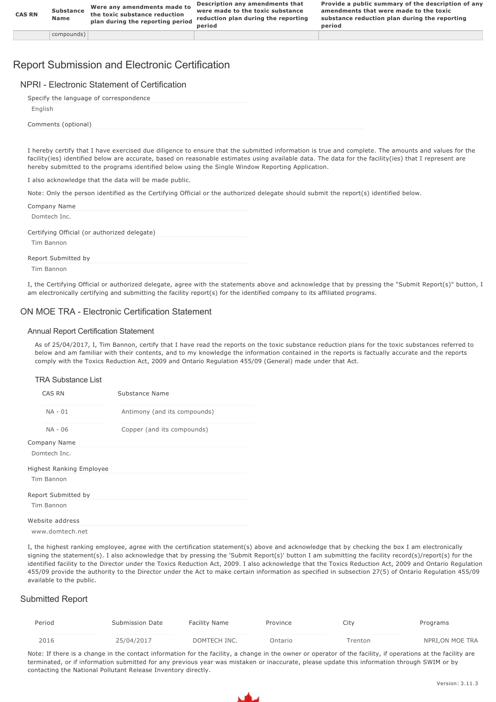# Report Submission and Electronic Certification

|  | NPRI - Electronic Statement of Certification |  |
|--|----------------------------------------------|--|
|  |                                              |  |

| Specify the language of correspondence |  |
|----------------------------------------|--|
| English                                |  |
| Comments (optional)                    |  |
|                                        |  |

I hereby certify that I have exercised due diligence to ensure that the submitted information is true and complete. The amounts and values for the facility(ies) identified below are accurate, based on reasonable estimates using available data. The data for the facility(ies) that I represent are hereby submitted to the programs identified below using the Single Window Reporting Application.

I also acknowledge that the data will be made public.

Note: Only the person identified as the Certifying Official or the authorized delegate should submit the report(s) identified below.

| Company Name                                 |
|----------------------------------------------|
| Domtech Inc.                                 |
| Certifying Official (or authorized delegate) |
| Tim Bannon                                   |
| Report Submitted by                          |
| Tim Bannon                                   |

I, the Certifying Official or authorized delegate, agree with the statements above and acknowledge that by pressing the "Submit Report(s)" button, I am electronically certifying and submitting the facility report(s) for the identified company to its affiliated programs.

### ON MOE TRA Electronic Certification Statement

#### Annual Report Certification Statement

As of 25/04/2017, I, Tim Bannon, certify that I have read the reports on the toxic substance reduction plans for the toxic substances referred to below and am familiar with their contents, and to my knowledge the information contained in the reports is factually accurate and the reports comply with the Toxics Reduction Act, 2009 and Ontario Regulation 455/09 (General) made under that Act.

#### TRA Substance List

| CAS RN                          | Substance Name               |
|---------------------------------|------------------------------|
| $NA - 01$                       | Antimony (and its compounds) |
| NA - 06                         | Copper (and its compounds)   |
| Company Name                    |                              |
| Domtech Inc.                    |                              |
| <b>Highest Ranking Employee</b> |                              |
| Tim Bannon                      |                              |
| Report Submitted by             |                              |
| Tim Bannon                      |                              |
| Website address                 |                              |
| www.domtech.net                 |                              |

I, the highest ranking employee, agree with the certification statement(s) above and acknowledge that by checking the box I am electronically signing the statement(s). I also acknowledge that by pressing the 'Submit Report(s)' button I am submitting the facility record(s)/report(s) for the identified facility to the Director under the Toxics Reduction Act, 2009. I also acknowledge that the Toxics Reduction Act, 2009 and Ontario Regulation 455/09 provide the authority to the Director under the Act to make certain information as specified in subsection 27(5) of Ontario Regulation 455/09 available to the public.

#### Submitted Report

|  | Period | Submission Date | <b>Facility Name</b> | Province | City    | Programs        |
|--|--------|-----------------|----------------------|----------|---------|-----------------|
|  | 2016   | 25/04/2017      | DOMTECH INC.         | Ontario  | Trenton | NPRI,ON MOE TRA |

Note: If there is a change in the contact information for the facility, a change in the owner or operator of the facility, if operations at the facility are terminated, or if information submitted for any previous year was mistaken or inaccurate, please update this information through SWIM or by contacting the National Pollutant Release Inventory directly.